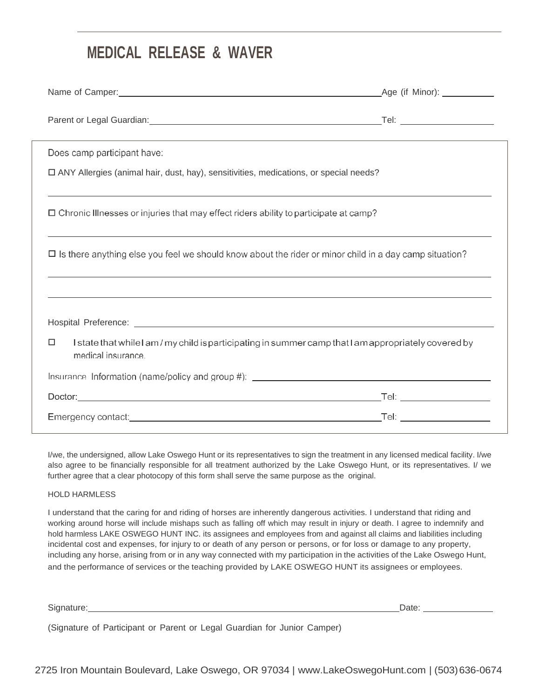## **MEDICAL RELEASE & WAVER**

| Name of Camper: Name of Campers and Campers and Campers and Campers and Campers and Campers and Campers and Campers and Campers and Campers and Campers and Campers and Campers and Campers and Campers and Campers and Camper         | _Age (if Minor): ____________ |  |  |
|----------------------------------------------------------------------------------------------------------------------------------------------------------------------------------------------------------------------------------------|-------------------------------|--|--|
|                                                                                                                                                                                                                                        |                               |  |  |
| Does camp participant have:                                                                                                                                                                                                            |                               |  |  |
| □ ANY Allergies (animal hair, dust, hay), sensitivities, medications, or special needs?                                                                                                                                                |                               |  |  |
| $\Box$ Chronic Illnesses or injuries that may effect riders ability to participate at camp?                                                                                                                                            |                               |  |  |
| $\Box$ Is there anything else you feel we should know about the rider or minor child in a day camp situation?<br><u> 1989 - Johann Stoff, deutscher Stoff, der Stoff, der Stoff, der Stoff, der Stoff, der Stoff, der Stoff, der S</u> |                               |  |  |
| ,我们也不会有什么。""我们的人,我们也不会有什么?""我们的人,我们也不会有什么?""我们的人,我们也不会有什么?""我们的人,我们也不会有什么?""我们的人                                                                                                                                                       |                               |  |  |
|                                                                                                                                                                                                                                        |                               |  |  |
| I state that while I am / my child is participating in summer camp that I am appropriately covered by<br>□<br>medical insurance.                                                                                                       |                               |  |  |
|                                                                                                                                                                                                                                        |                               |  |  |
|                                                                                                                                                                                                                                        |                               |  |  |
|                                                                                                                                                                                                                                        |                               |  |  |

I/we, the undersigned, allow Lake Oswego Hunt or its representatives to sign the treatment in any licensed medical facility. I/we also agree to be financially responsible for all treatment authorized by the Lake Oswego Hunt, or its representatives. I/ we further agree that a clear photocopy of this form shall serve the same purpose as the original.

#### HOLD HARMLESS

I understand that the caring for and riding of horses are inherently dangerous activities. I understand that riding and working around horse will include mishaps such as falling off which may result in injury or death. I agree to indemnify and hold harmless LAKE OSWEGO HUNT INC. its assignees and employees from and against all claims and liabilities including incidental cost and expenses, for injury to or death of any person or persons, or for loss or damage to any property, including any horse, arising from or in any way connected with my participation in the activities of the Lake Oswego Hunt, and the performance of services or the teaching provided by LAKE OSWEGO HUNT its assignees or employees.

Signature: Date: Determine Contract Contract Contract Contract Contract Contract Contract Contract Contract Contract Contract Contract Contract Contract Contract Contract Contract Contract Contract Contract Contract Contra

(Signature of Participant or Parent or Legal Guardian for Junior Camper)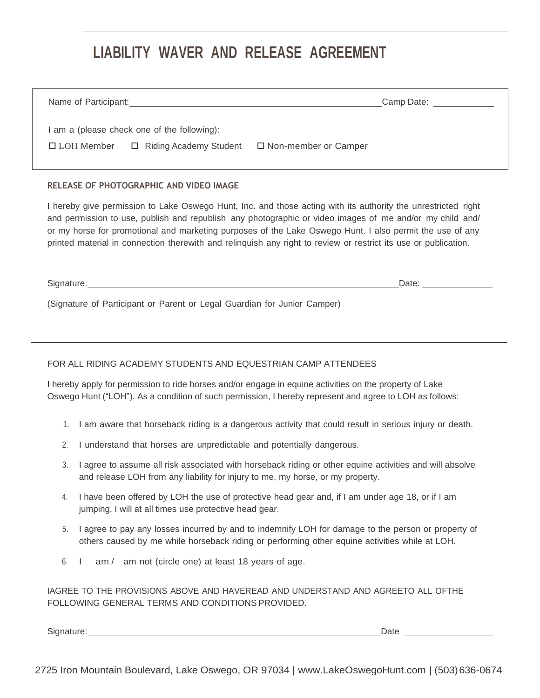# **LIABILITY WAVER AND RELEASE AGREEMENT**

| Name of Participant: |                                                                         |                        | Camp Date: Camp Date: |
|----------------------|-------------------------------------------------------------------------|------------------------|-----------------------|
| $\Box$ LOH Member    | I am a (please check one of the following):<br>□ Riding Academy Student | □ Non-member or Camper |                       |

#### **RELEASE OF PHOTOGRAPHIC AND VIDEO IMAGE**

I hereby give permission to Lake Oswego Hunt, Inc. and those acting with its authority the unrestricted right and permission to use, publish and republish any photographic or video images of me and/or my child and/ or my horse for promotional and marketing purposes of the Lake Oswego Hunt. I also permit the use of any printed material in connection therewith and relinquish any right to review or restrict its use or publication.

Signature: Date: Date: Date: Date: Date: Date: Date: Date: Date: Date: Date: Date: Date: Date: Date: Date: Date: Date: Date: Date: Date: Date: Date: Date: Date: Date: Date: Date: Date: Date: Date: Date: Date: Date: Date: D

(Signature of Participant or Parent or Legal Guardian for Junior Camper)

#### FOR ALL RIDING ACADEMY STUDENTS AND EQUESTRIAN CAMP ATTENDEES

I hereby apply for permission to ride horses and/or engage in equine activities on the property of Lake Oswego Hunt ("LOH"). As a condition of such permission, I hereby represent and agree to LOH as follows:

- 1. I am aware that horseback riding is a dangerous activity that could result in serious injury or death.
- 2. I understand that horses are unpredictable and potentially dangerous.
- 3. I agree to assume all risk associated with horseback riding or other equine activities and will absolve and release LOH from any liability for injury to me, my horse, or my property.
- 4. I have been offered by LOH the use of protective head gear and, if I am under age 18, or if I am jumping, I will at all times use protective head gear.
- 5. I agree to pay any losses incurred by and to indemnify LOH for damage to the person or property of others caused by me while horseback riding or performing other equine activities while at LOH.
- 6. I am / am not (circle one) at least 18 years of age.

IAGREE TO THE PROVISIONS ABOVE AND HAVEREAD AND UNDERSTAND AND AGREETO ALL OFTHE FOLLOWING GENERAL TERMS AND CONDITIONS PROVIDED.

Signature: Date Date Development of the Contract of the Date Date Date Development of the Date Date Date Development of the Date Date Development of the Date Development of the Date Development of the Date Development of t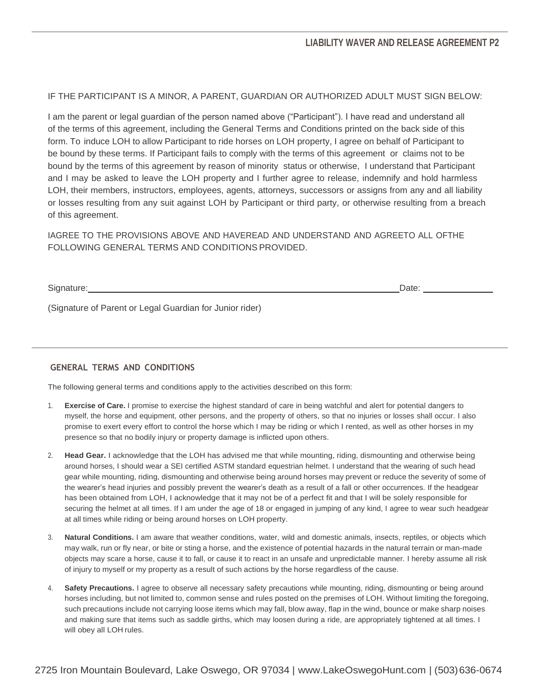IF THE PARTICIPANT IS A MINOR, A PARENT, GUARDIAN OR AUTHORIZED ADULT MUST SIGN BELOW:

I am the parent or legal guardian of the person named above ("Participant"). I have read and understand all of the terms of this agreement, including the General Terms and Conditions printed on the back side of this form. To induce LOH to allow Participant to ride horses on LOH property, I agree on behalf of Participant to be bound by these terms. If Participant fails to comply with the terms of this agreement or claims not to be bound by the terms of this agreement by reason of minority status or otherwise, I understand that Participant and I may be asked to leave the LOH property and I further agree to release, indemnify and hold harmless LOH, their members, instructors, employees, agents, attorneys, successors or assigns from any and all liability or losses resulting from any suit against LOH by Participant or third party, or otherwise resulting from a breach of this agreement.

IAGREE TO THE PROVISIONS ABOVE AND HAVEREAD AND UNDERSTAND AND AGREETO ALL OFTHE FOLLOWING GENERAL TERMS AND CONDITIONS PROVIDED.

Signature: Date:

(Signature of Parent or Legal Guardian for Junior rider)

#### **GENERAL TERMS AND CONDITIONS**

The following general terms and conditions apply to the activities described on this form:

- 1. **Exercise of Care.** I promise to exercise the highest standard of care in being watchful and alert for potential dangers to myself, the horse and equipment, other persons, and the property of others, so that no injuries or losses shall occur. I also promise to exert every effort to control the horse which I may be riding or which I rented, as well as other horses in my presence so that no bodily injury or property damage is inflicted upon others.
- 2. **Head Gear.** I acknowledge that the LOH has advised me that while mounting, riding, dismounting and otherwise being around horses, I should wear a SEI certified ASTM standard equestrian helmet. I understand that the wearing of such head gear while mounting, riding, dismounting and otherwise being around horses may prevent or reduce the severity of some of the wearer's head injuries and possibly prevent the wearer's death as a result of a fall or other occurrences. If the headgear has been obtained from LOH, I acknowledge that it may not be of a perfect fit and that I will be solely responsible for securing the helmet at all times. If I am under the age of 18 or engaged in jumping of any kind, I agree to wear such headgear at all times while riding or being around horses on LOH property.
- 3. **Natural Conditions.** I am aware that weather conditions, water, wild and domestic animals, insects, reptiles, or objects which may walk, run or fly near, or bite or sting a horse, and the existence of potential hazards in the natural terrain or man-made objects may scare a horse, cause it to fall, or cause it to react in an unsafe and unpredictable manner. I hereby assume all risk of injury to myself or my property as a result of such actions by the horse regardless of the cause.
- 4. **Safety Precautions.** I agree to observe all necessary safety precautions while mounting, riding, dismounting or being around horses including, but not limited to, common sense and rules posted on the premises of LOH. Without limiting the foregoing, such precautions include not carrying loose items which may fall, blow away, flap in the wind, bounce or make sharp noises and making sure that items such as saddle girths, which may loosen during a ride, are appropriately tightened at all times. I will obey all LOH rules.